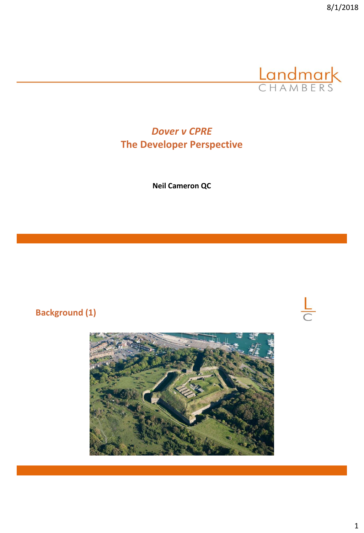

 $\frac{L}{C}$ 

# *Dover v CPRE*  **The Developer Perspective**

**Neil Cameron QC**

**Background (1)**

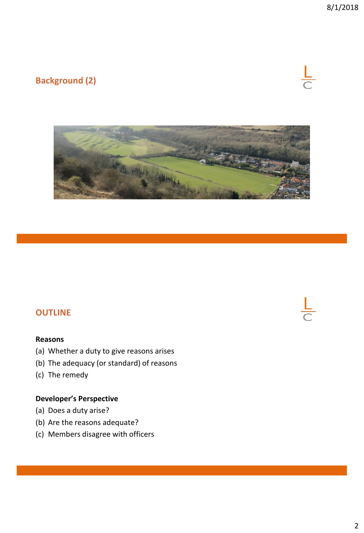# **Background (2)**





#### **OUTLINE**

#### **Reasons**

- (a) Whether a duty to give reasons arises
- (b) The adequacy (or standard) of reasons
- (c) The remedy

#### **Developer's Perspective**

- (a) Does a duty arise?
- (b) Are the reasons adequate?
- (c) Members disagree with officers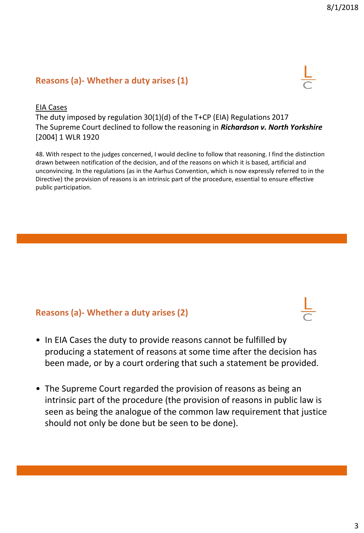#### **Reasons (a)- Whether a duty arises (1)**



#### EIA Cases

The duty imposed by regulation 30(1)(d) of the T+CP (EIA) Regulations 2017 The Supreme Court declined to follow the reasoning in *Richardson v. North Yorkshire*  [2004] 1 WLR 1920

48. With respect to the judges concerned, I would decline to follow that reasoning. I find the distinction drawn between notification of the decision, and of the reasons on which it is based, artificial and unconvincing. In the regulations (as in the Aarhus Convention, which is now expressly referred to in the Directive) the provision of reasons is an intrinsic part of the procedure, essential to ensure effective public participation.

#### **Reasons (a)- Whether a duty arises (2)**

- In EIA Cases the duty to provide reasons cannot be fulfilled by producing a statement of reasons at some time after the decision has been made, or by a court ordering that such a statement be provided.
- The Supreme Court regarded the provision of reasons as being an intrinsic part of the procedure (the provision of reasons in public law is seen as being the analogue of the common law requirement that justice should not only be done but be seen to be done).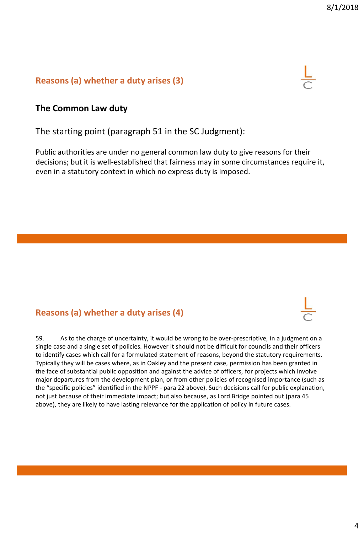#### **Reasons (a) whether a duty arises (3)**



#### **The Common Law duty**

The starting point (paragraph 51 in the SC Judgment):

Public authorities are under no general common law duty to give reasons for their decisions; but it is well-established that fairness may in some circumstances require it, even in a statutory context in which no express duty is imposed.

### **Reasons (a) whether a duty arises (4)**

59. As to the charge of uncertainty, it would be wrong to be over-prescriptive, in a judgment on a single case and a single set of policies. However it should not be difficult for councils and their officers to identify cases which call for a formulated statement of reasons, beyond the statutory requirements. Typically they will be cases where, as in Oakley and the present case, permission has been granted in the face of substantial public opposition and against the advice of officers, for projects which involve major departures from the development plan, or from other policies of recognised importance (such as the "specific policies" identified in the NPPF - para 22 above). Such decisions call for public explanation, not just because of their immediate impact; but also because, as Lord Bridge pointed out (para 45 above), they are likely to have lasting relevance for the application of policy in future cases.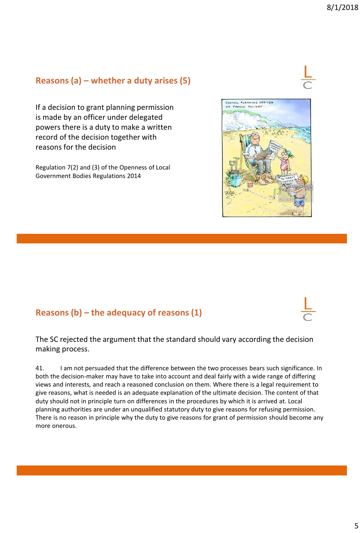## **Reasons (a) – whether a duty arises (5)**

If a decision to grant planning permission is made by an officer under delegated powers there is a duty to make a written record of the decision together with reasons for the decision

Regulation 7(2) and (3) of the Openness of Local Government Bodies Regulations 2014

## **Reasons (b) – the adequacy of reasons (1)**

The SC rejected the argument that the standard should vary according the decision making process.

41. I am not persuaded that the difference between the two processes bears such significance. In both the decision-maker may have to take into account and deal fairly with a wide range of differing views and interests, and reach a reasoned conclusion on them. Where there is a legal requirement to give reasons, what is needed is an adequate explanation of the ultimate decision. The content of that duty should not in principle turn on differences in the procedures by which it is arrived at. Local planning authorities are under an unqualified statutory duty to give reasons for refusing permission. There is no reason in principle why the duty to give reasons for grant of permission should become any more onerous.



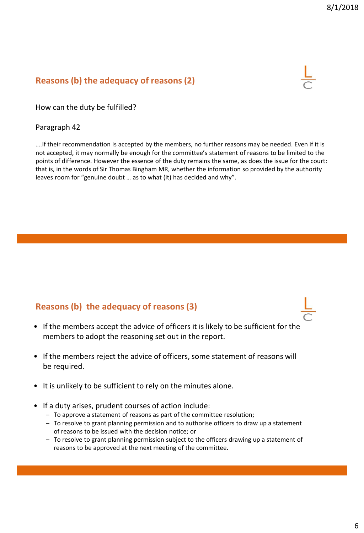### **Reasons (b) the adequacy of reasons (2)**



How can the duty be fulfilled?

#### Paragraph 42

….If their recommendation is accepted by the members, no further reasons may be needed. Even if it is not accepted, it may normally be enough for the committee's statement of reasons to be limited to the points of difference. However the essence of the duty remains the same, as does the issue for the court: that is, in the words of Sir Thomas Bingham MR, whether the information so provided by the authority leaves room for "genuine doubt … as to what (it) has decided and why".

#### **Reasons (b) the adequacy of reasons (3)**

- If the members accept the advice of officers it is likely to be sufficient for the members to adopt the reasoning set out in the report.
- If the members reject the advice of officers, some statement of reasons will be required.
- It is unlikely to be sufficient to rely on the minutes alone.
- If a duty arises, prudent courses of action include:
	- To approve a statement of reasons as part of the committee resolution;
	- To resolve to grant planning permission and to authorise officers to draw up a statement of reasons to be issued with the decision notice; or
	- To resolve to grant planning permission subject to the officers drawing up a statement of reasons to be approved at the next meeting of the committee.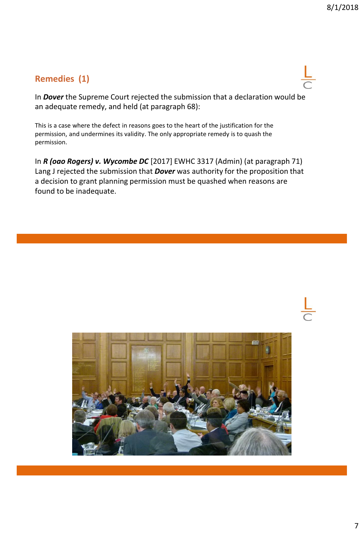## **Remedies (1)**

In *Dover* the Supreme Court rejected the submission that a declaration would be an adequate remedy, and held (at paragraph 68):

This is a case where the defect in reasons goes to the heart of the justification for the permission, and undermines its validity. The only appropriate remedy is to quash the permission.

In *R (oao Rogers) v. Wycombe DC* [2017] EWHC 3317 (Admin) (at paragraph 71) Lang J rejected the submission that *Dover* was authority for the proposition that a decision to grant planning permission must be quashed when reasons are found to be inadequate.

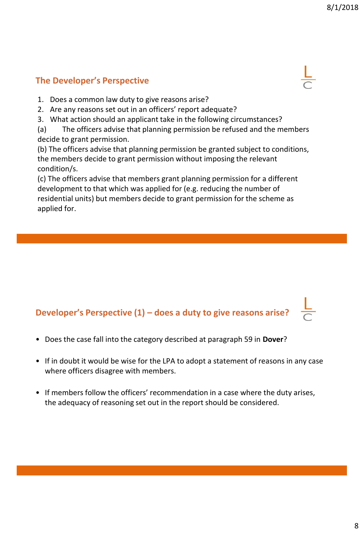## **The Developer's Perspective**

- 1. Does a common law duty to give reasons arise?
- 2. Are any reasons set out in an officers' report adequate?
- 3. What action should an applicant take in the following circumstances?
- (a) The officers advise that planning permission be refused and the members decide to grant permission.

(b) The officers advise that planning permission be granted subject to conditions, the members decide to grant permission without imposing the relevant condition/s.

(c) The officers advise that members grant planning permission for a different development to that which was applied for (e.g. reducing the number of residential units) but members decide to grant permission for the scheme as applied for.

# **Developer's Perspective (1) – does a duty to give reasons arise?**

- Does the case fall into the category described at paragraph 59 in **Dover**?
- If in doubt it would be wise for the LPA to adopt a statement of reasons in any case where officers disagree with members.
- If members follow the officers' recommendation in a case where the duty arises, the adequacy of reasoning set out in the report should be considered.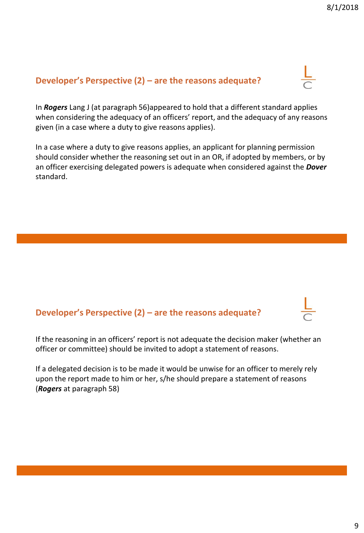### **Developer's Perspective (2) – are the reasons adequate?**

In *Rogers* Lang J (at paragraph 56)appeared to hold that a different standard applies when considering the adequacy of an officers' report, and the adequacy of any reasons given (in a case where a duty to give reasons applies).

In a case where a duty to give reasons applies, an applicant for planning permission should consider whether the reasoning set out in an OR, if adopted by members, or by an officer exercising delegated powers is adequate when considered against the *Dover* standard.

#### **Developer's Perspective (2) – are the reasons adequate?**

If the reasoning in an officers' report is not adequate the decision maker (whether an officer or committee) should be invited to adopt a statement of reasons.

If a delegated decision is to be made it would be unwise for an officer to merely rely upon the report made to him or her, s/he should prepare a statement of reasons (*Rogers* at paragraph 58)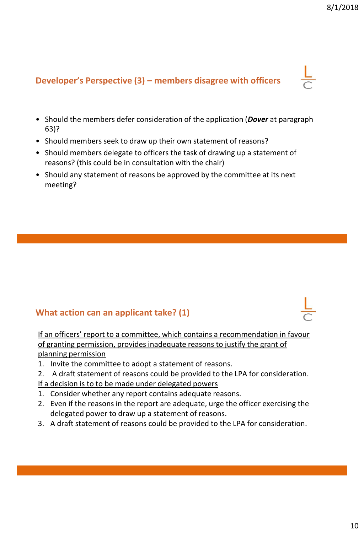# **Developer's Perspective (3) – members disagree with officers**

- Should the members defer consideration of the application (*Dover* at paragraph 63)?
- Should members seek to draw up their own statement of reasons?
- Should members delegate to officers the task of drawing up a statement of reasons? (this could be in consultation with the chair)
- Should any statement of reasons be approved by the committee at its next meeting?

## **What action can an applicant take? (1)**

If an officers' report to a committee, which contains a recommendation in favour of granting permission, provides inadequate reasons to justify the grant of planning permission

- 1. Invite the committee to adopt a statement of reasons.
- 2. A draft statement of reasons could be provided to the LPA for consideration. If a decision is to to be made under delegated powers
- 1. Consider whether any report contains adequate reasons.
- 2. Even if the reasons in the report are adequate, urge the officer exercising the delegated power to draw up a statement of reasons.
- 3. A draft statement of reasons could be provided to the LPA for consideration.